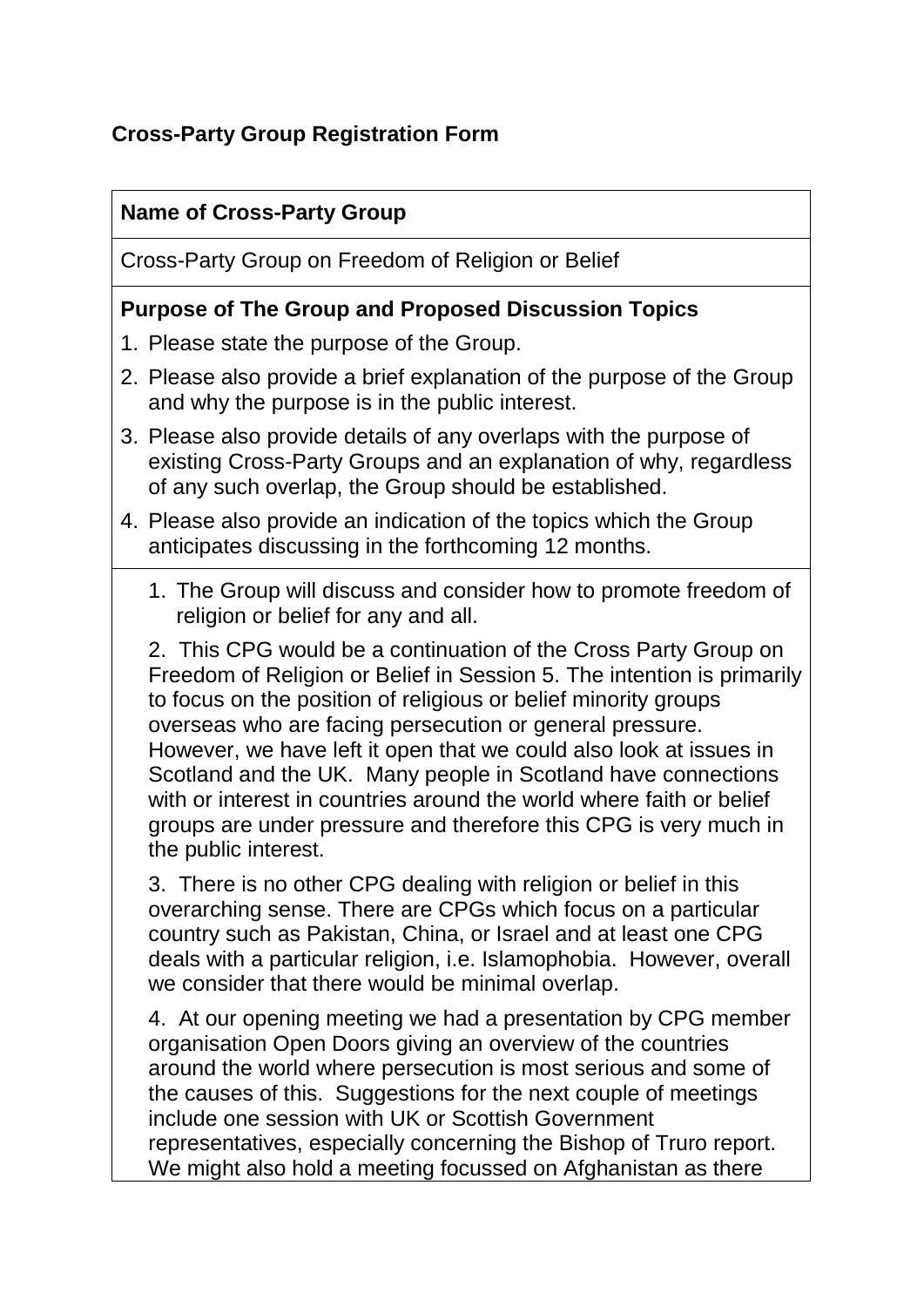# **Cross-Party Group Registration Form**

### **Name of Cross-Party Group**

Cross-Party Group on Freedom of Religion or Belief

### **Purpose of The Group and Proposed Discussion Topics**

- 1. Please state the purpose of the Group.
- 2. Please also provide a brief explanation of the purpose of the Group and why the purpose is in the public interest.
- 3. Please also provide details of any overlaps with the purpose of existing Cross-Party Groups and an explanation of why, regardless of any such overlap, the Group should be established.
- 4. Please also provide an indication of the topics which the Group anticipates discussing in the forthcoming 12 months.
	- 1. The Group will discuss and consider how to promote freedom of religion or belief for any and all.

2. This CPG would be a continuation of the Cross Party Group on Freedom of Religion or Belief in Session 5. The intention is primarily to focus on the position of religious or belief minority groups overseas who are facing persecution or general pressure. However, we have left it open that we could also look at issues in Scotland and the UK. Many people in Scotland have connections with or interest in countries around the world where faith or belief groups are under pressure and therefore this CPG is very much in the public interest.

3. There is no other CPG dealing with religion or belief in this overarching sense. There are CPGs which focus on a particular country such as Pakistan, China, or Israel and at least one CPG deals with a particular religion, i.e. Islamophobia. However, overall we consider that there would be minimal overlap.

4. At our opening meeting we had a presentation by CPG member organisation Open Doors giving an overview of the countries around the world where persecution is most serious and some of the causes of this. Suggestions for the next couple of meetings include one session with UK or Scottish Government representatives, especially concerning the Bishop of Truro report. We might also hold a meeting focussed on Afghanistan as there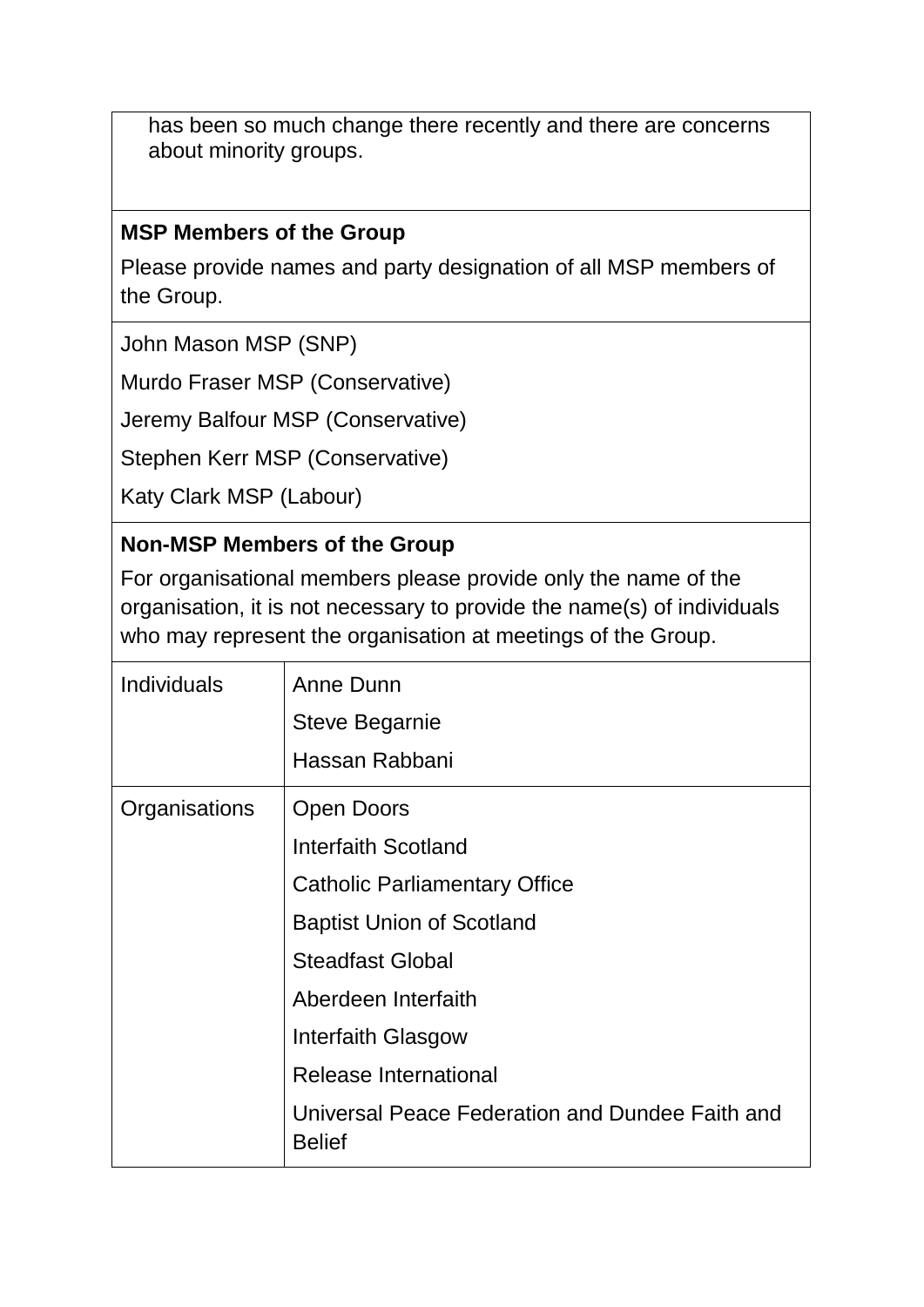has been so much change there recently and there are concerns about minority groups.

### **MSP Members of the Group**

Please provide names and party designation of all MSP members of the Group.

John Mason MSP (SNP)

Murdo Fraser MSP (Conservative)

Jeremy Balfour MSP (Conservative)

Stephen Kerr MSP (Conservative)

Katy Clark MSP (Labour)

### **Non-MSP Members of the Group**

For organisational members please provide only the name of the organisation, it is not necessary to provide the name(s) of individuals who may represent the organisation at meetings of the Group.

| <b>Individuals</b> | Anne Dunn                                                        |
|--------------------|------------------------------------------------------------------|
|                    | <b>Steve Begarnie</b>                                            |
|                    | Hassan Rabbani                                                   |
| Organisations      | Open Doors                                                       |
|                    | Interfaith Scotland                                              |
|                    | <b>Catholic Parliamentary Office</b>                             |
|                    | <b>Baptist Union of Scotland</b>                                 |
|                    | <b>Steadfast Global</b>                                          |
|                    | Aberdeen Interfaith                                              |
|                    | <b>Interfaith Glasgow</b>                                        |
|                    | <b>Release International</b>                                     |
|                    | Universal Peace Federation and Dundee Faith and<br><b>Belief</b> |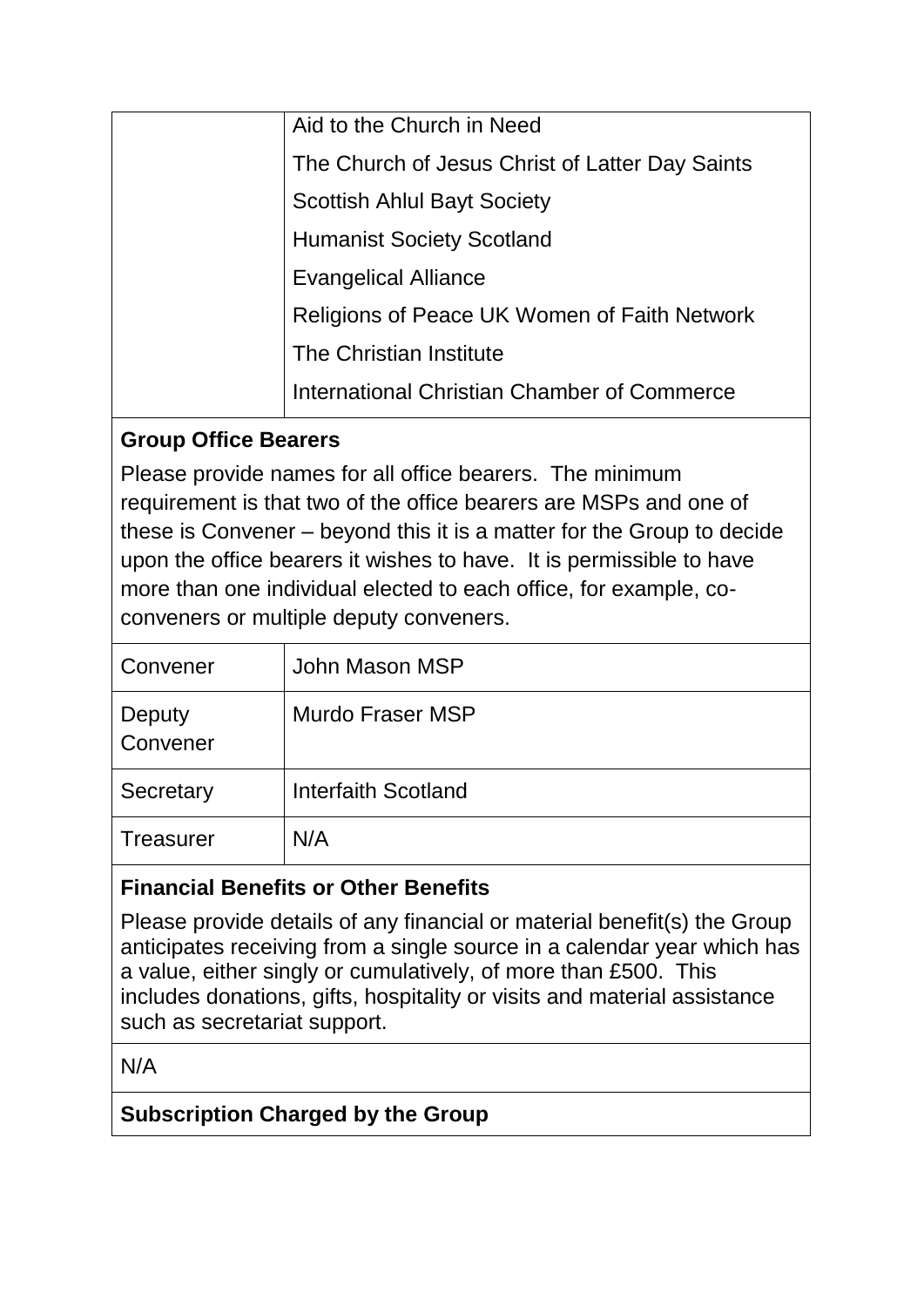| Aid to the Church in Need                       |
|-------------------------------------------------|
| The Church of Jesus Christ of Latter Day Saints |
| <b>Scottish Ahlul Bayt Society</b>              |
| <b>Humanist Society Scotland</b>                |
| Evangelical Alliance                            |
| Religions of Peace UK Women of Faith Network    |
| The Christian Institute                         |
| International Christian Chamber of Commerce     |
|                                                 |

# **Group Office Bearers**

Please provide names for all office bearers. The minimum requirement is that two of the office bearers are MSPs and one of these is Convener – beyond this it is a matter for the Group to decide upon the office bearers it wishes to have. It is permissible to have more than one individual elected to each office, for example, coconveners or multiple deputy conveners.

| Convener           | John Mason MSP             |
|--------------------|----------------------------|
| Deputy<br>Convener | Murdo Fraser MSP           |
| Secretary          | <b>Interfaith Scotland</b> |
| Treasurer          | N/A                        |

# **Financial Benefits or Other Benefits**

Please provide details of any financial or material benefit(s) the Group anticipates receiving from a single source in a calendar year which has a value, either singly or cumulatively, of more than £500. This includes donations, gifts, hospitality or visits and material assistance such as secretariat support.

N/A

# **Subscription Charged by the Group**